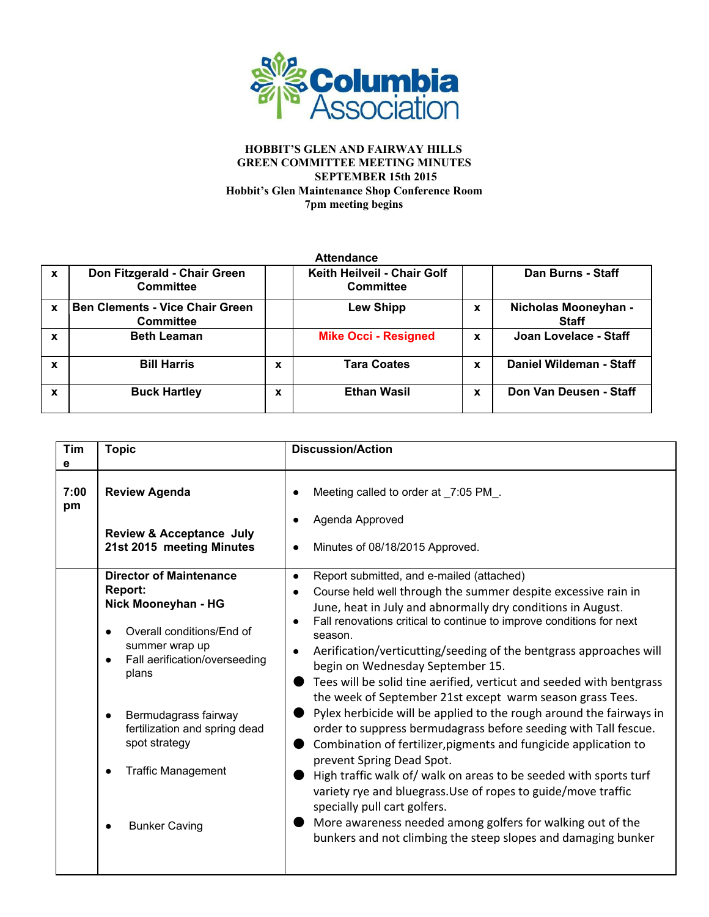

| <b>Attendance</b> |                                                            |   |                                                 |   |                                      |  |  |  |
|-------------------|------------------------------------------------------------|---|-------------------------------------------------|---|--------------------------------------|--|--|--|
| $\boldsymbol{x}$  | Don Fitzgerald - Chair Green<br>Committee                  |   | Keith Heilveil - Chair Golf<br><b>Committee</b> |   | Dan Burns - Staff                    |  |  |  |
| X                 | <b>Ben Clements - Vice Chair Green</b><br><b>Committee</b> |   | <b>Lew Shipp</b>                                | X | Nicholas Mooneyhan -<br><b>Staff</b> |  |  |  |
| X                 | <b>Beth Leaman</b>                                         |   | <b>Mike Occi - Resigned</b>                     | X | Joan Lovelace - Staff                |  |  |  |
| X                 | <b>Bill Harris</b>                                         | X | <b>Tara Coates</b>                              | X | Daniel Wildeman - Staff              |  |  |  |
| X                 | <b>Buck Hartley</b>                                        | X | <b>Ethan Wasil</b>                              | X | Don Van Deusen - Staff               |  |  |  |

| Tim<br>е   | <b>Topic</b>                                                                                                                                                                                                                                                                                    | <b>Discussion/Action</b>                                                                                                                                                                                                                                                                                                                                                                                                                                                                                                                                                                                                                                                                                                                                                                                                                                                                                                                                                                                                                                                                           |  |  |
|------------|-------------------------------------------------------------------------------------------------------------------------------------------------------------------------------------------------------------------------------------------------------------------------------------------------|----------------------------------------------------------------------------------------------------------------------------------------------------------------------------------------------------------------------------------------------------------------------------------------------------------------------------------------------------------------------------------------------------------------------------------------------------------------------------------------------------------------------------------------------------------------------------------------------------------------------------------------------------------------------------------------------------------------------------------------------------------------------------------------------------------------------------------------------------------------------------------------------------------------------------------------------------------------------------------------------------------------------------------------------------------------------------------------------------|--|--|
| 7:00<br>pm | <b>Review Agenda</b><br><b>Review &amp; Acceptance July</b><br>21st 2015 meeting Minutes                                                                                                                                                                                                        | Meeting called to order at _7:05 PM_.<br>Agenda Approved<br>Minutes of 08/18/2015 Approved.<br>٠                                                                                                                                                                                                                                                                                                                                                                                                                                                                                                                                                                                                                                                                                                                                                                                                                                                                                                                                                                                                   |  |  |
|            | <b>Director of Maintenance</b><br><b>Report:</b><br>Nick Mooneyhan - HG<br>Overall conditions/End of<br>summer wrap up<br>Fall aerification/overseeding<br>plans<br>Bermudagrass fairway<br>fertilization and spring dead<br>spot strategy<br><b>Traffic Management</b><br><b>Bunker Caving</b> | Report submitted, and e-mailed (attached)<br>$\bullet$<br>Course held well through the summer despite excessive rain in<br>$\bullet$<br>June, heat in July and abnormally dry conditions in August.<br>Fall renovations critical to continue to improve conditions for next<br>season.<br>Aerification/verticutting/seeding of the bentgrass approaches will<br>$\bullet$<br>begin on Wednesday September 15.<br>Tees will be solid tine aerified, verticut and seeded with bentgrass<br>the week of September 21st except warm season grass Tees.<br>Pylex herbicide will be applied to the rough around the fairways in<br>order to suppress bermudagrass before seeding with Tall fescue.<br>Combination of fertilizer, pigments and fungicide application to<br>prevent Spring Dead Spot.<br>High traffic walk of/ walk on areas to be seeded with sports turf<br>variety rye and bluegrass. Use of ropes to guide/move traffic<br>specially pull cart golfers.<br>More awareness needed among golfers for walking out of the<br>bunkers and not climbing the steep slopes and damaging bunker |  |  |
|            |                                                                                                                                                                                                                                                                                                 |                                                                                                                                                                                                                                                                                                                                                                                                                                                                                                                                                                                                                                                                                                                                                                                                                                                                                                                                                                                                                                                                                                    |  |  |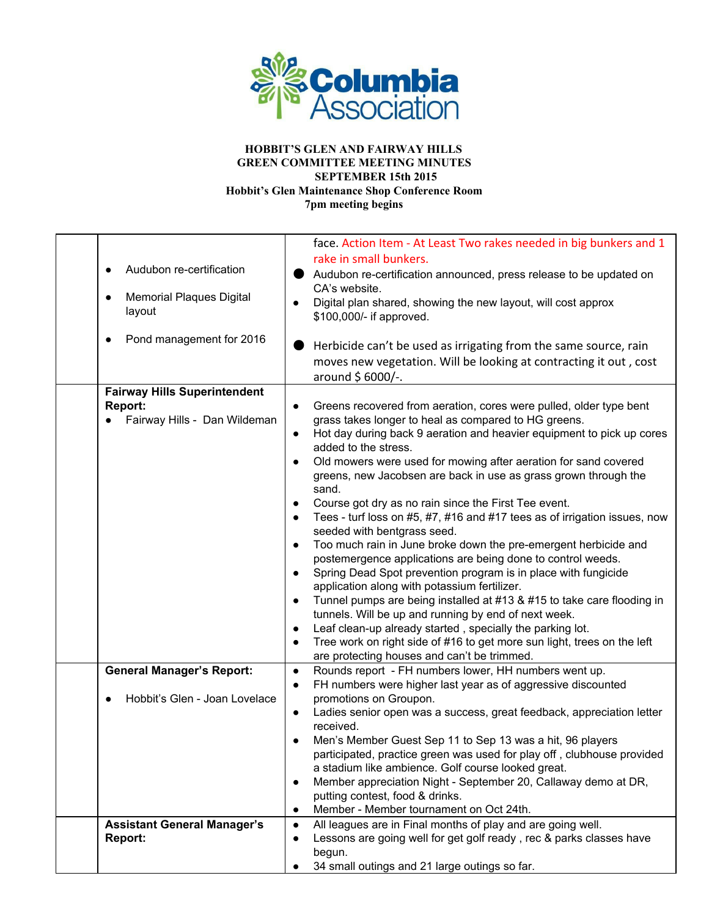

| Audubon re-certification<br><b>Memorial Plaques Digital</b><br>$\bullet$<br>layout<br>Pond management for 2016 | face. Action Item - At Least Two rakes needed in big bunkers and 1<br>rake in small bunkers.<br>Audubon re-certification announced, press release to be updated on<br>CA's website.<br>Digital plan shared, showing the new layout, will cost approx<br>\$100,000/- if approved.<br>Herbicide can't be used as irrigating from the same source, rain<br>moves new vegetation. Will be looking at contracting it out, cost<br>around \$6000/-.                                                                                                                                                                                                                                                                                                                                                                                                                                                                                                                                                                                                                                                                                                                                                |
|----------------------------------------------------------------------------------------------------------------|----------------------------------------------------------------------------------------------------------------------------------------------------------------------------------------------------------------------------------------------------------------------------------------------------------------------------------------------------------------------------------------------------------------------------------------------------------------------------------------------------------------------------------------------------------------------------------------------------------------------------------------------------------------------------------------------------------------------------------------------------------------------------------------------------------------------------------------------------------------------------------------------------------------------------------------------------------------------------------------------------------------------------------------------------------------------------------------------------------------------------------------------------------------------------------------------|
| <b>Fairway Hills Superintendent</b><br><b>Report:</b><br>Fairway Hills - Dan Wildeman                          | Greens recovered from aeration, cores were pulled, older type bent<br>grass takes longer to heal as compared to HG greens.<br>Hot day during back 9 aeration and heavier equipment to pick up cores<br>$\bullet$<br>added to the stress.<br>Old mowers were used for mowing after aeration for sand covered<br>greens, new Jacobsen are back in use as grass grown through the<br>sand.<br>Course got dry as no rain since the First Tee event.<br>Tees - turf loss on #5, #7, #16 and #17 tees as of irrigation issues, now<br>seeded with bentgrass seed.<br>Too much rain in June broke down the pre-emergent herbicide and<br>$\bullet$<br>postemergence applications are being done to control weeds.<br>Spring Dead Spot prevention program is in place with fungicide<br>$\bullet$<br>application along with potassium fertilizer.<br>Tunnel pumps are being installed at #13 & #15 to take care flooding in<br>$\bullet$<br>tunnels. Will be up and running by end of next week.<br>Leaf clean-up already started, specially the parking lot.<br>Tree work on right side of #16 to get more sun light, trees on the left<br>$\bullet$<br>are protecting houses and can't be trimmed. |
| <b>General Manager's Report:</b><br>Hobbit's Glen - Joan Lovelace                                              | Rounds report - FH numbers lower, HH numbers went up.<br>$\bullet$<br>FH numbers were higher last year as of aggressive discounted<br>$\bullet$<br>promotions on Groupon.<br>Ladies senior open was a success, great feedback, appreciation letter<br>$\bullet$<br>received.<br>Men's Member Guest Sep 11 to Sep 13 was a hit, 96 players<br>participated, practice green was used for play off, clubhouse provided<br>a stadium like ambience. Golf course looked great.<br>Member appreciation Night - September 20, Callaway demo at DR,<br>$\bullet$<br>putting contest, food & drinks.<br>Member - Member tournament on Oct 24th.<br>$\bullet$                                                                                                                                                                                                                                                                                                                                                                                                                                                                                                                                          |
| <b>Assistant General Manager's</b><br>Report:                                                                  | All leagues are in Final months of play and are going well.<br>$\bullet$<br>Lessons are going well for get golf ready, rec & parks classes have<br>$\bullet$<br>begun.<br>34 small outings and 21 large outings so far.                                                                                                                                                                                                                                                                                                                                                                                                                                                                                                                                                                                                                                                                                                                                                                                                                                                                                                                                                                      |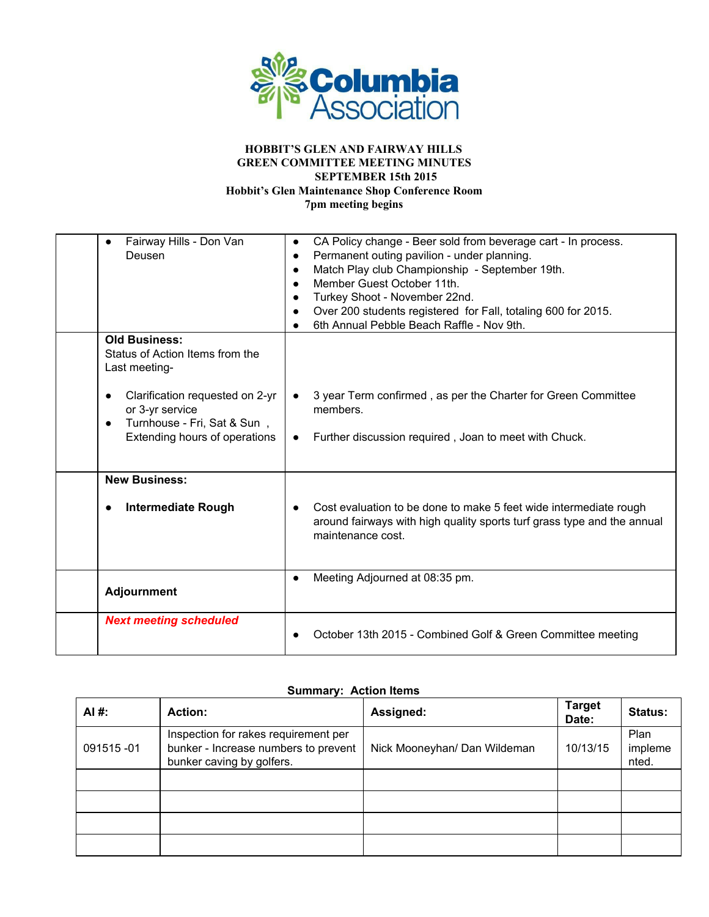

| Fairway Hills - Don Van<br>$\bullet$         | CA Policy change - Beer sold from beverage cart - In process.           |  |  |  |
|----------------------------------------------|-------------------------------------------------------------------------|--|--|--|
| Deusen                                       | Permanent outing pavilion - under planning.<br>$\bullet$                |  |  |  |
|                                              | Match Play club Championship - September 19th.                          |  |  |  |
|                                              | Member Guest October 11th.                                              |  |  |  |
|                                              | Turkey Shoot - November 22nd.                                           |  |  |  |
|                                              | Over 200 students registered for Fall, totaling 600 for 2015.           |  |  |  |
|                                              | 6th Annual Pebble Beach Raffle - Nov 9th.                               |  |  |  |
| <b>Old Business:</b>                         |                                                                         |  |  |  |
| Status of Action Items from the              |                                                                         |  |  |  |
| Last meeting-                                |                                                                         |  |  |  |
|                                              |                                                                         |  |  |  |
| Clarification requested on 2-yr<br>$\bullet$ | 3 year Term confirmed, as per the Charter for Green Committee           |  |  |  |
| or 3-yr service                              | members.                                                                |  |  |  |
| Turnhouse - Fri, Sat & Sun,<br>$\bullet$     |                                                                         |  |  |  |
| Extending hours of operations                | Further discussion required, Joan to meet with Chuck.<br>$\bullet$      |  |  |  |
|                                              |                                                                         |  |  |  |
|                                              |                                                                         |  |  |  |
| <b>New Business:</b>                         |                                                                         |  |  |  |
|                                              |                                                                         |  |  |  |
| <b>Intermediate Rough</b><br>$\bullet$       | Cost evaluation to be done to make 5 feet wide intermediate rough       |  |  |  |
|                                              | around fairways with high quality sports turf grass type and the annual |  |  |  |
|                                              | maintenance cost.                                                       |  |  |  |
|                                              |                                                                         |  |  |  |
|                                              |                                                                         |  |  |  |
|                                              | Meeting Adjourned at 08:35 pm.                                          |  |  |  |
| <b>Adjournment</b>                           |                                                                         |  |  |  |
|                                              |                                                                         |  |  |  |
| <b>Next meeting scheduled</b>                |                                                                         |  |  |  |
|                                              | October 13th 2015 - Combined Golf & Green Committee meeting             |  |  |  |
|                                              |                                                                         |  |  |  |

## **Summary: Action Items**

| AI#:      | <b>Action:</b>                                                                                            | Assigned:                    | <b>Target</b><br>Date: | Status:                  |
|-----------|-----------------------------------------------------------------------------------------------------------|------------------------------|------------------------|--------------------------|
| 091515-01 | Inspection for rakes requirement per<br>bunker - Increase numbers to prevent<br>bunker caving by golfers. | Nick Mooneyhan/ Dan Wildeman | 10/13/15               | Plan<br>impleme<br>nted. |
|           |                                                                                                           |                              |                        |                          |
|           |                                                                                                           |                              |                        |                          |
|           |                                                                                                           |                              |                        |                          |
|           |                                                                                                           |                              |                        |                          |